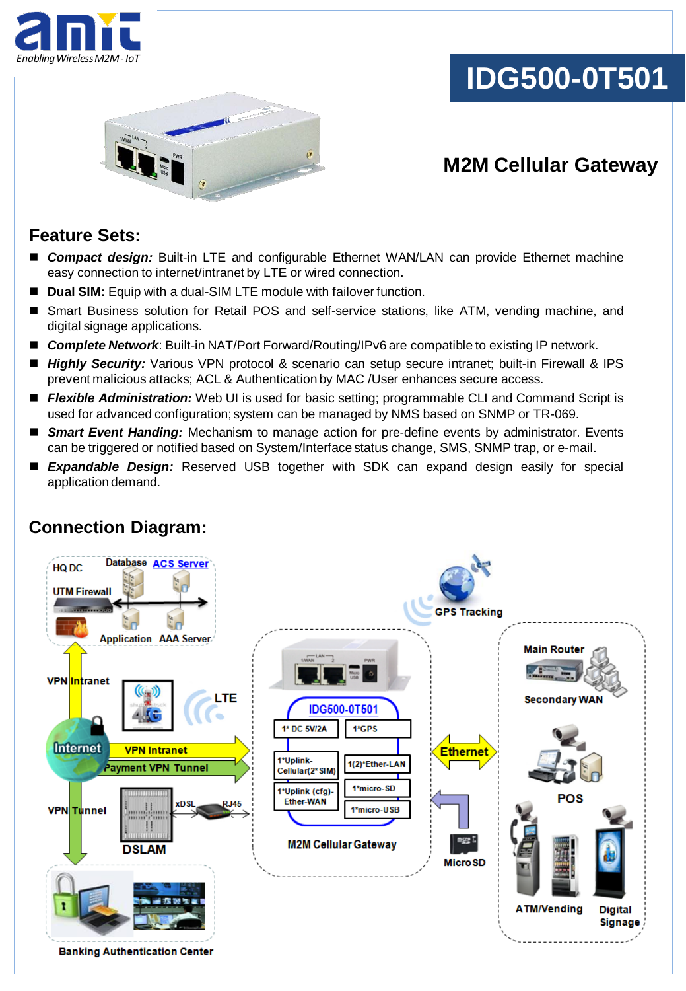

# **IDG500-0T501**



## **M2M Cellular Gateway**

### **Feature Sets:**

- *Compact design:* Built-in LTE and configurable Ethernet WAN/LAN can provide Ethernet machine easy connection to internet/intranet by LTE or wired connection.
- **Dual SIM:** Equip with a dual-SIM LTE module with failover function.
- Smart Business solution for Retail POS and self-service stations, like ATM, vending machine, and digital signage applications.
- **Complete Network:** Built-in NAT/Port Forward/Routing/IPv6 are compatible to existing IP network.
- *Highly Security:* Various VPN protocol & scenario can setup secure intranet; built-in Firewall & IPS prevent malicious attacks; ACL & Authentication by MAC /User enhances secure access.
- **Flexible Administration:** Web UI is used for basic setting; programmable CLI and Command Script is used for advanced configuration; system can be managed by NMS based on SNMP or TR-069.
- *Smart Event Handing:* Mechanism to manage action for pre-define events by administrator. Events can be triggered or notified based on System/Interface status change, SMS, SNMP trap, or e-mail.
- *Expandable Design:* Reserved USB together with SDK can expand design easily for special application demand.



### **Connection Diagram:**